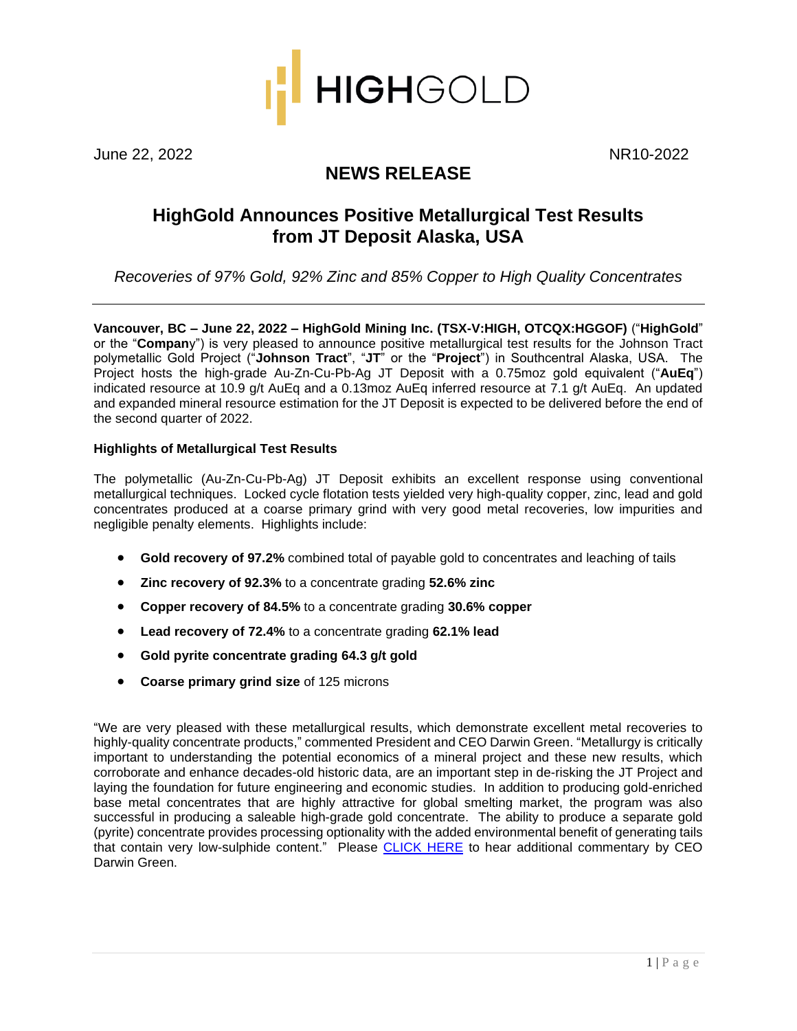

June 22, 2022 NR10-2022

# **NEWS RELEASE**

# **HighGold Announces Positive Metallurgical Test Results from JT Deposit Alaska, USA**

*Recoveries of 97% Gold, 92% Zinc and 85% Copper to High Quality Concentrates*

**Vancouver, BC – June 22, 2022 – HighGold Mining Inc. (TSX-V:HIGH, OTCQX:HGGOF)** ("**HighGold**" or the "**Compan**y") is very pleased to announce positive metallurgical test results for the Johnson Tract polymetallic Gold Project ("**Johnson Tract**", "**JT**" or the "**Project**") in Southcentral Alaska, USA. The Project hosts the high-grade Au-Zn-Cu-Pb-Ag JT Deposit with a 0.75moz gold equivalent ("**AuEq**") indicated resource at 10.9 g/t AuEq and a 0.13moz AuEq inferred resource at 7.1 g/t AuEq. An updated and expanded mineral resource estimation for the JT Deposit is expected to be delivered before the end of the second quarter of 2022.

# **Highlights of Metallurgical Test Results**

The polymetallic (Au-Zn-Cu-Pb-Ag) JT Deposit exhibits an excellent response using conventional metallurgical techniques. Locked cycle flotation tests yielded very high-quality copper, zinc, lead and gold concentrates produced at a coarse primary grind with very good metal recoveries, low impurities and negligible penalty elements. Highlights include:

- **Gold recovery of 97.2%** combined total of payable gold to concentrates and leaching of tails
- **Zinc recovery of 92.3%** to a concentrate grading **52.6% zinc**
- **Copper recovery of 84.5%** to a concentrate grading **30.6% copper**
- **Lead recovery of 72.4%** to a concentrate grading **62.1% lead**
- **Gold pyrite concentrate grading 64.3 g/t gold**
- **Coarse primary grind size** of 125 microns

"We are very pleased with these metallurgical results, which demonstrate excellent metal recoveries to highly-quality concentrate products," commented President and CEO Darwin Green. "Metallurgy is critically important to understanding the potential economics of a mineral project and these new results, which corroborate and enhance decades-old historic data, are an important step in de-risking the JT Project and laying the foundation for future engineering and economic studies. In addition to producing gold-enriched base metal concentrates that are highly attractive for global smelting market, the program was also successful in producing a saleable high-grade gold concentrate. The ability to produce a separate gold (pyrite) concentrate provides processing optionality with the added environmental benefit of generating tails that contain very low-sulphide content." Please [CLICK HERE](https://youtu.be/8ZGpHCWWcOY) to hear additional commentary by CEO Darwin Green.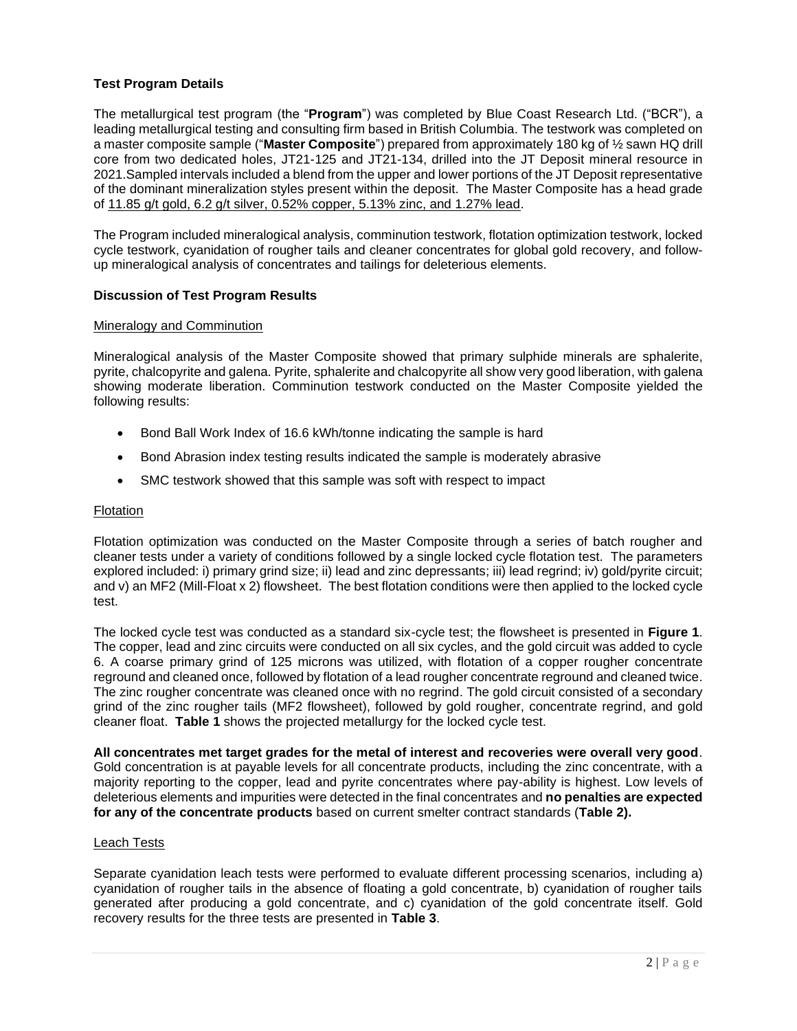## **Test Program Details**

The metallurgical test program (the "**Program**") was completed by Blue Coast Research Ltd. ("BCR"), a leading metallurgical testing and consulting firm based in British Columbia. The testwork was completed on a master composite sample ("**Master Composite**") prepared from approximately 180 kg of ½ sawn HQ drill core from two dedicated holes, JT21-125 and JT21-134, drilled into the JT Deposit mineral resource in 2021.Sampled intervals included a blend from the upper and lower portions of the JT Deposit representative of the dominant mineralization styles present within the deposit. The Master Composite has a head grade of 11.85 g/t gold, 6.2 g/t silver, 0.52% copper, 5.13% zinc, and 1.27% lead.

The Program included mineralogical analysis, comminution testwork, flotation optimization testwork, locked cycle testwork, cyanidation of rougher tails and cleaner concentrates for global gold recovery, and followup mineralogical analysis of concentrates and tailings for deleterious elements.

## **Discussion of Test Program Results**

### Mineralogy and Comminution

Mineralogical analysis of the Master Composite showed that primary sulphide minerals are sphalerite, pyrite, chalcopyrite and galena. Pyrite, sphalerite and chalcopyrite all show very good liberation, with galena showing moderate liberation. Comminution testwork conducted on the Master Composite yielded the following results:

- Bond Ball Work Index of 16.6 kWh/tonne indicating the sample is hard
- Bond Abrasion index testing results indicated the sample is moderately abrasive
- SMC testwork showed that this sample was soft with respect to impact

#### Flotation

Flotation optimization was conducted on the Master Composite through a series of batch rougher and cleaner tests under a variety of conditions followed by a single locked cycle flotation test. The parameters explored included: i) primary grind size; ii) lead and zinc depressants; iii) lead regrind; iv) gold/pyrite circuit; and v) an MF2 (Mill-Float x 2) flowsheet. The best flotation conditions were then applied to the locked cycle test.

The locked cycle test was conducted as a standard six-cycle test; the flowsheet is presented in **Figure 1**. The copper, lead and zinc circuits were conducted on all six cycles, and the gold circuit was added to cycle 6. A coarse primary grind of 125 microns was utilized, with flotation of a copper rougher concentrate reground and cleaned once, followed by flotation of a lead rougher concentrate reground and cleaned twice. The zinc rougher concentrate was cleaned once with no regrind. The gold circuit consisted of a secondary grind of the zinc rougher tails (MF2 flowsheet), followed by gold rougher, concentrate regrind, and gold cleaner float. **Table 1** shows the projected metallurgy for the locked cycle test.

**All concentrates met target grades for the metal of interest and recoveries were overall very good**. Gold concentration is at payable levels for all concentrate products, including the zinc concentrate, with a majority reporting to the copper, lead and pyrite concentrates where pay-ability is highest. Low levels of deleterious elements and impurities were detected in the final concentrates and **no penalties are expected for any of the concentrate products** based on current smelter contract standards (**Table 2).**

#### Leach Tests

Separate cyanidation leach tests were performed to evaluate different processing scenarios, including a) cyanidation of rougher tails in the absence of floating a gold concentrate, b) cyanidation of rougher tails generated after producing a gold concentrate, and c) cyanidation of the gold concentrate itself. Gold recovery results for the three tests are presented in **Table 3**.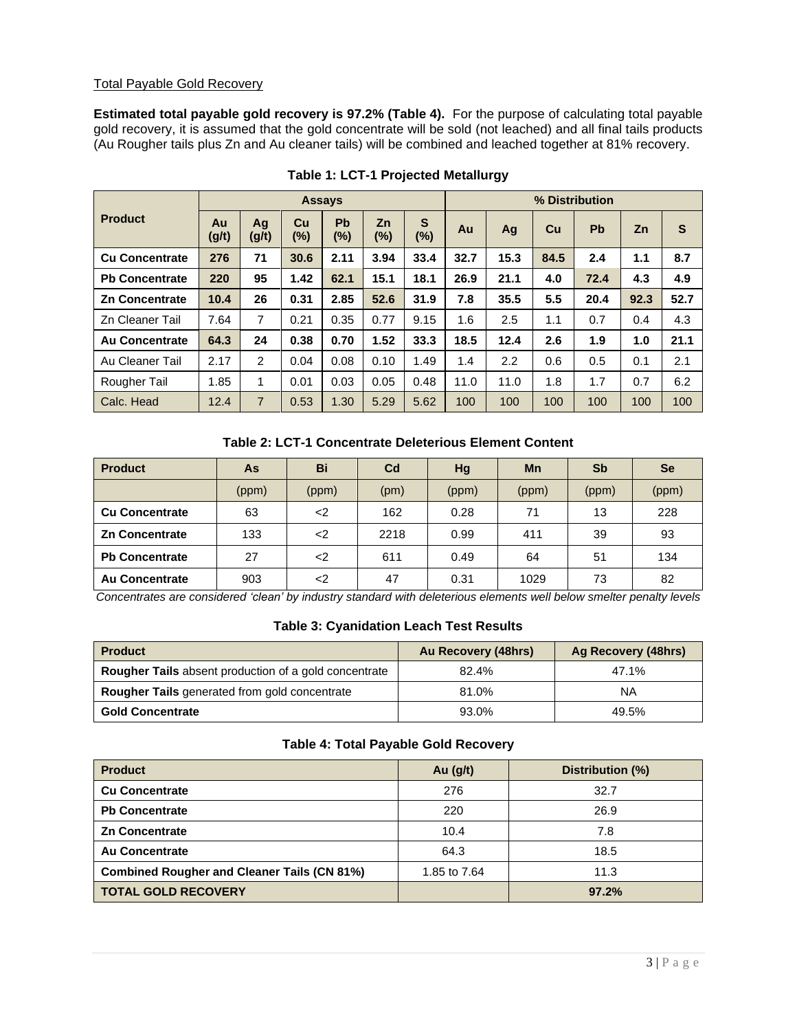## Total Payable Gold Recovery

**Estimated total payable gold recovery is 97.2% (Table 4).** For the purpose of calculating total payable gold recovery, it is assumed that the gold concentrate will be sold (not leached) and all final tails products (Au Rougher tails plus Zn and Au cleaner tails) will be combined and leached together at 81% recovery.

|                       | <b>Assays</b> |                |              |                     |              |                        | % Distribution |      |      |           |      |      |
|-----------------------|---------------|----------------|--------------|---------------------|--------------|------------------------|----------------|------|------|-----------|------|------|
| <b>Product</b>        | Au<br>(g/t)   | Ag<br>(g/t)    | Cu<br>$(\%)$ | <b>Pb</b><br>$(\%)$ | Zn<br>$(\%)$ | $\mathbf{s}$<br>$(\%)$ | Au             | Ag   | Cu   | <b>Pb</b> | Zn   | S    |
| <b>Cu Concentrate</b> | 276           | 71             | 30.6         | 2.11                | 3.94         | 33.4                   | 32.7           | 15.3 | 84.5 | 2.4       | 1.1  | 8.7  |
| <b>Pb Concentrate</b> | 220           | 95             | 1.42         | 62.1                | 15.1         | 18.1                   | 26.9           | 21.1 | 4.0  | 72.4      | 4.3  | 4.9  |
| <b>Zn Concentrate</b> | 10.4          | 26             | 0.31         | 2.85                | 52.6         | 31.9                   | 7.8            | 35.5 | 5.5  | 20.4      | 92.3 | 52.7 |
| Zn Cleaner Tail       | 7.64          | 7              | 0.21         | 0.35                | 0.77         | 9.15                   | 1.6            | 2.5  | 1.1  | 0.7       | 0.4  | 4.3  |
| <b>Au Concentrate</b> | 64.3          | 24             | 0.38         | 0.70                | 1.52         | 33.3                   | 18.5           | 12.4 | 2.6  | 1.9       | 1.0  | 21.1 |
| Au Cleaner Tail       | 2.17          | 2              | 0.04         | 0.08                | 0.10         | 1.49                   | 1.4            | 2.2  | 0.6  | 0.5       | 0.1  | 2.1  |
| Rougher Tail          | 1.85          | 1              | 0.01         | 0.03                | 0.05         | 0.48                   | 11.0           | 11.0 | 1.8  | 1.7       | 0.7  | 6.2  |
| Calc. Head            | 12.4          | $\overline{7}$ | 0.53         | 1.30                | 5.29         | 5.62                   | 100            | 100  | 100  | 100       | 100  | 100  |

# **Table 1: LCT-1 Projected Metallurgy**

## **Table 2: LCT-1 Concentrate Deleterious Element Content**

| <b>Product</b>        | As    | Bi     | C <sub>d</sub> | Hg    | <b>Mn</b> | Sb    | <b>Se</b> |
|-----------------------|-------|--------|----------------|-------|-----------|-------|-----------|
|                       | (ppm) | (ppm)  | (pm)           | (ppm) | (ppm)     | (ppm) | (ppm)     |
| <b>Cu Concentrate</b> | 63    | $\leq$ | 162            | 0.28  | 71        | 13    | 228       |
| <b>Zn Concentrate</b> | 133   | <2     | 2218           | 0.99  | 411       | 39    | 93        |
| <b>Pb Concentrate</b> | 27    | <2     | 611            | 0.49  | 64        | 51    | 134       |
| <b>Au Concentrate</b> | 903   | -2     | 47             | 0.31  | 1029      | 73    | 82        |

*Concentrates are considered 'clean' by industry standard with deleterious elements well below smelter penalty levels*

# **Table 3: Cyanidation Leach Test Results**

| <b>Product</b>                                               | Au Recovery (48hrs) | Ag Recovery (48hrs) |
|--------------------------------------------------------------|---------------------|---------------------|
| <b>Rougher Tails</b> absent production of a gold concentrate | 82.4%               | 47.1%               |
| <b>Rougher Tails</b> generated from gold concentrate         | 81.0%               | ΝA                  |
| <b>Gold Concentrate</b>                                      | 93.0%               | 49.5%               |

## **Table 4: Total Payable Gold Recovery**

| <b>Product</b>                                     | Au $(g/t)$   | Distribution (%) |
|----------------------------------------------------|--------------|------------------|
| <b>Cu Concentrate</b>                              | 276          | 32.7             |
| <b>Pb Concentrate</b>                              | 220          | 26.9             |
| <b>Zn Concentrate</b>                              | 10.4         | 7.8              |
| <b>Au Concentrate</b>                              | 64.3         | 18.5             |
| <b>Combined Rougher and Cleaner Tails (CN 81%)</b> | 1.85 to 7.64 | 11.3             |
| <b>TOTAL GOLD RECOVERY</b>                         |              | 97.2%            |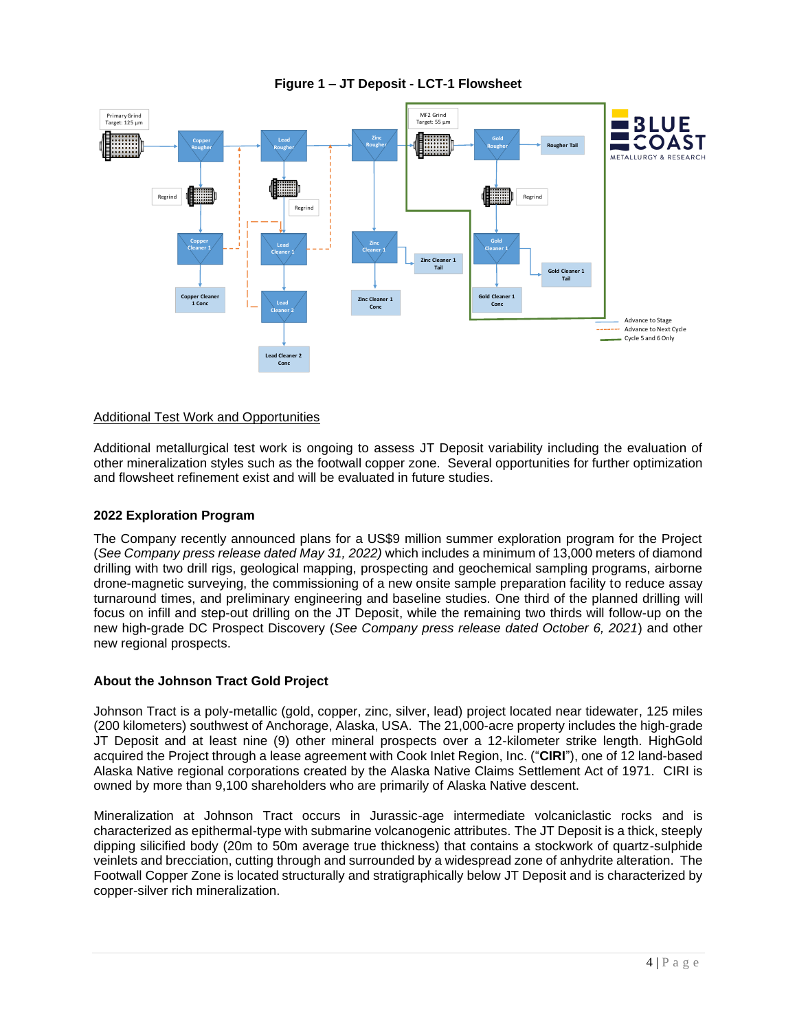

# **Figure 1 – JT Deposit - LCT-1 Flowsheet**

## Additional Test Work and Opportunities

Additional metallurgical test work is ongoing to assess JT Deposit variability including the evaluation of other mineralization styles such as the footwall copper zone. Several opportunities for further optimization and flowsheet refinement exist and will be evaluated in future studies.

### **2022 Exploration Program**

The Company recently announced plans for a US\$9 million summer exploration program for the Project (*See Company press release dated May 31, 2022)* which includes a minimum of 13,000 meters of diamond drilling with two drill rigs, geological mapping, prospecting and geochemical sampling programs, airborne drone-magnetic surveying, the commissioning of a new onsite sample preparation facility to reduce assay turnaround times, and preliminary engineering and baseline studies. One third of the planned drilling will focus on infill and step-out drilling on the JT Deposit, while the remaining two thirds will follow-up on the new high-grade DC Prospect Discovery (*See Company press release dated October 6, 2021*) and other new regional prospects.

### **About the Johnson Tract Gold Project**

Johnson Tract is a poly-metallic (gold, copper, zinc, silver, lead) project located near tidewater, 125 miles (200 kilometers) southwest of Anchorage, Alaska, USA. The 21,000-acre property includes the high-grade JT Deposit and at least nine (9) other mineral prospects over a 12-kilometer strike length. HighGold acquired the Project through a lease agreement with Cook Inlet Region, Inc. ("**CIRI**"), one of 12 land-based Alaska Native regional corporations created by the Alaska Native Claims Settlement Act of 1971. CIRI is owned by more than 9,100 shareholders who are primarily of Alaska Native descent.

Mineralization at Johnson Tract occurs in Jurassic-age intermediate volcaniclastic rocks and is characterized as epithermal-type with submarine volcanogenic attributes. The JT Deposit is a thick, steeply dipping silicified body (20m to 50m average true thickness) that contains a stockwork of quartz-sulphide veinlets and brecciation, cutting through and surrounded by a widespread zone of anhydrite alteration. The Footwall Copper Zone is located structurally and stratigraphically below JT Deposit and is characterized by copper-silver rich mineralization.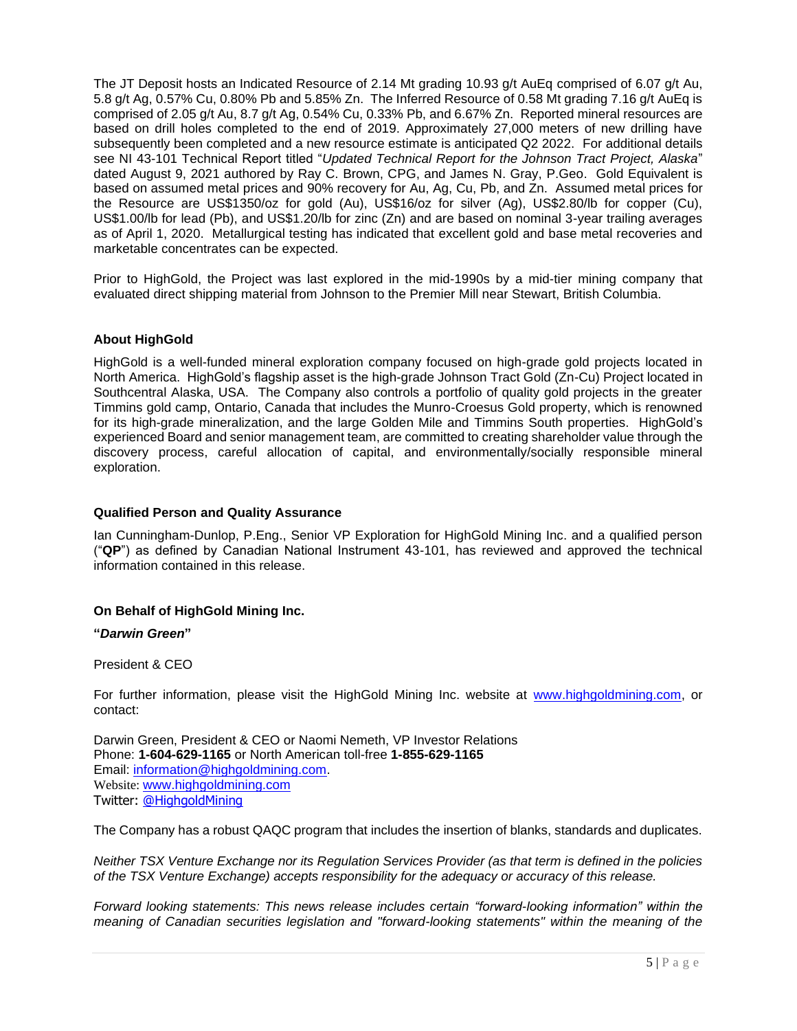The JT Deposit hosts an Indicated Resource of 2.14 Mt grading 10.93 g/t AuEq comprised of 6.07 g/t Au, 5.8 g/t Ag, 0.57% Cu, 0.80% Pb and 5.85% Zn. The Inferred Resource of 0.58 Mt grading 7.16 g/t AuEq is comprised of 2.05 g/t Au, 8.7 g/t Ag, 0.54% Cu, 0.33% Pb, and 6.67% Zn. Reported mineral resources are based on drill holes completed to the end of 2019. Approximately 27,000 meters of new drilling have subsequently been completed and a new resource estimate is anticipated Q2 2022. For additional details see NI 43-101 Technical Report titled "*Updated Technical Report for the Johnson Tract Project, Alaska*" dated August 9, 2021 authored by Ray C. Brown, CPG, and James N. Gray, P.Geo. Gold Equivalent is based on assumed metal prices and 90% recovery for Au, Ag, Cu, Pb, and Zn. Assumed metal prices for the Resource are US\$1350/oz for gold (Au), US\$16/oz for silver (Ag), US\$2.80/lb for copper (Cu), US\$1.00/lb for lead (Pb), and US\$1.20/lb for zinc (Zn) and are based on nominal 3-year trailing averages as of April 1, 2020. Metallurgical testing has indicated that excellent gold and base metal recoveries and marketable concentrates can be expected.

Prior to HighGold, the Project was last explored in the mid-1990s by a mid-tier mining company that evaluated direct shipping material from Johnson to the Premier Mill near Stewart, British Columbia.

## **About HighGold**

HighGold is a well-funded mineral exploration company focused on high-grade gold projects located in North America. HighGold's flagship asset is the high-grade Johnson Tract Gold (Zn-Cu) Project located in Southcentral Alaska, USA. The Company also controls a portfolio of quality gold projects in the greater Timmins gold camp, Ontario, Canada that includes the Munro-Croesus Gold property, which is renowned for its high-grade mineralization, and the large Golden Mile and Timmins South properties. HighGold's experienced Board and senior management team, are committed to creating shareholder value through the discovery process, careful allocation of capital, and environmentally/socially responsible mineral exploration.

#### **Qualified Person and Quality Assurance**

Ian Cunningham-Dunlop, P.Eng., Senior VP Exploration for HighGold Mining Inc. and a qualified person ("**QP**") as defined by Canadian National Instrument 43-101, has reviewed and approved the technical information contained in this release.

### **On Behalf of HighGold Mining Inc.**

#### **"***Darwin Green***"**

#### President & CEO

For further information, please visit the HighGold Mining Inc. website at [www.highgoldmining.com,](http://www.highgoldmining.com/) or contact:

Darwin Green, President & CEO or Naomi Nemeth, VP Investor Relations Phone: **1-604-629-1165** or North American toll-free **1-855-629-1165** Email: [information@highgoldmining.com.](mailto:information@highgoldmining.com) Website: [www.highgoldmining.com](http://www.highgoldmining.com/) Twitter: [@HighgoldMining](https://twitter.com/highgoldmining?lang=en)

The Company has a robust QAQC program that includes the insertion of blanks, standards and duplicates.

*Neither TSX Venture Exchange nor its Regulation Services Provider (as that term is defined in the policies of the TSX Venture Exchange) accepts responsibility for the adequacy or accuracy of this release.*

*Forward looking statements: This news release includes certain "forward-looking information" within the meaning of Canadian securities legislation and "forward-looking statements" within the meaning of the*